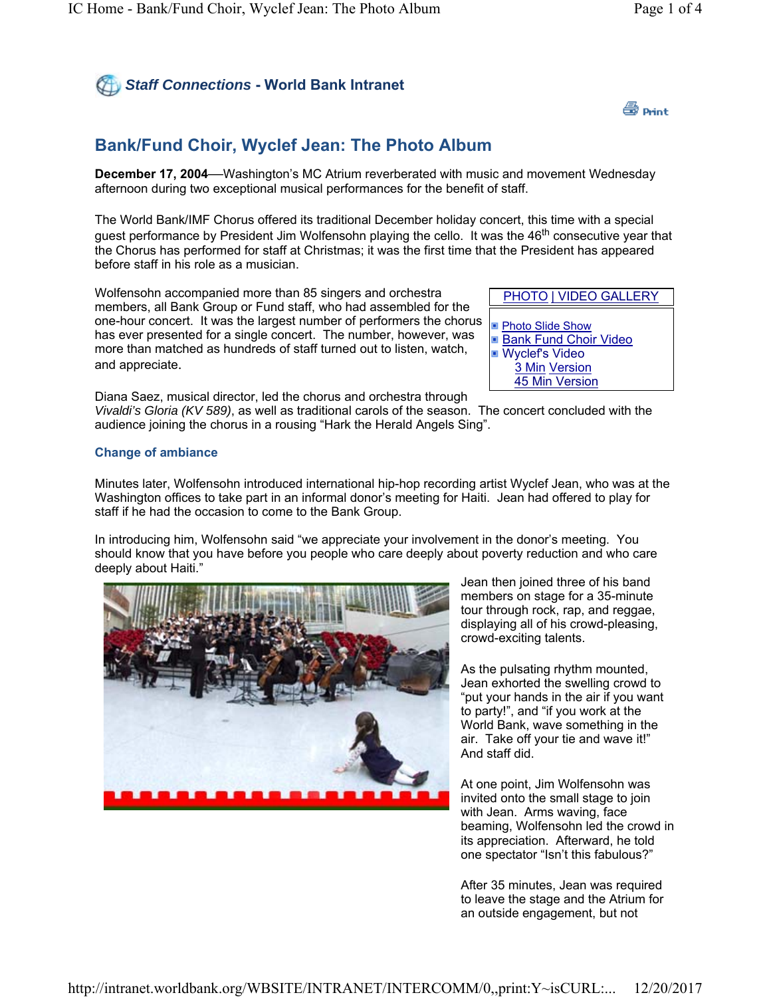## *Staff Connections* **- World Bank Intranet**



## **Bank/Fund Choir, Wyclef Jean: The Photo Album**

**December 17, 2004—**Washington's MC Atrium reverberated with music and movement Wednesday afternoon during two exceptional musical performances for the benefit of staff.

The World Bank/IMF Chorus offered its traditional December holiday concert, this time with a special guest performance by President Jim Wolfensohn playing the cello. It was the 46<sup>th</sup> consecutive year that the Chorus has performed for staff at Christmas; it was the first time that the President has appeared before staff in his role as a musician.

Wolfensohn accompanied more than 85 singers and orchestra members, all Bank Group or Fund staff, who had assembled for the one-hour concert. It was the largest number of performers the chorus has ever presented for a single concert. The number, however, was more than matched as hundreds of staff turned out to listen, watch, and appreciate.

Diana Saez, musical director, led the chorus and orchestra through *Vivaldi's Gloria (KV 589)*, as well as traditional carols of the season. The concert concluded with the audience joining the chorus in a rousing "Hark the Herald Angels Sing".

PHOTO | VIDEO GALLERY

Photo Slide Show **Bank Fund Choir Video** ■ Wyclef's Video 3 Min Version 45 Min Version

## **Change of ambiance**

Minutes later, Wolfensohn introduced international hip-hop recording artist Wyclef Jean, who was at the Washington offices to take part in an informal donor's meeting for Haiti. Jean had offered to play for staff if he had the occasion to come to the Bank Group.

In introducing him, Wolfensohn said "we appreciate your involvement in the donor's meeting. You should know that you have before you people who care deeply about poverty reduction and who care deeply about Haiti."



Jean then joined three of his band members on stage for a 35-minute tour through rock, rap, and reggae, displaying all of his crowd-pleasing, crowd-exciting talents.

As the pulsating rhythm mounted, Jean exhorted the swelling crowd to "put your hands in the air if you want to party!", and "if you work at the World Bank, wave something in the air. Take off your tie and wave it!" And staff did.

At one point, Jim Wolfensohn was invited onto the small stage to join with Jean. Arms waving, face beaming, Wolfensohn led the crowd in its appreciation. Afterward, he told one spectator "Isn't this fabulous?"

After 35 minutes, Jean was required to leave the stage and the Atrium for an outside engagement, but not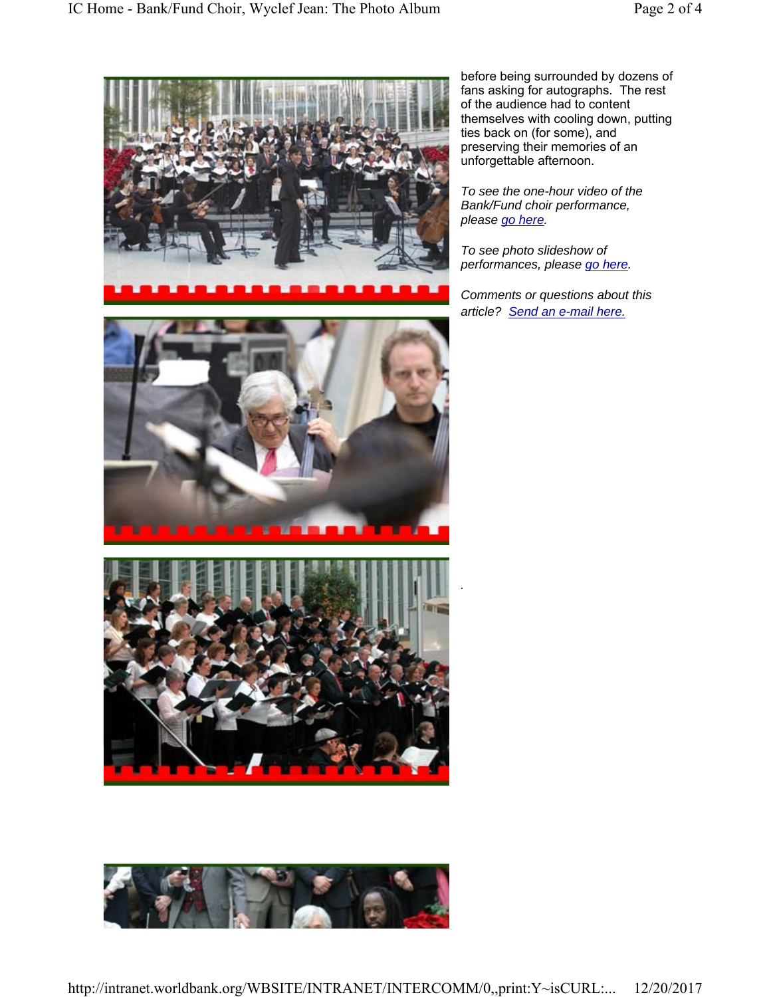

before being surrounded by dozens of fans asking for autographs. The rest of the audience had to content themselves with cooling down, putting ties back on (for some), and preserving their memories of an unforgettable afternoon.

*To see the one-hour video of the Bank/Fund choir performance, please go here.*

*To see photo slideshow of performances, please go here.*

*.*

*Comments or questions about this article? Send an e-mail here.*





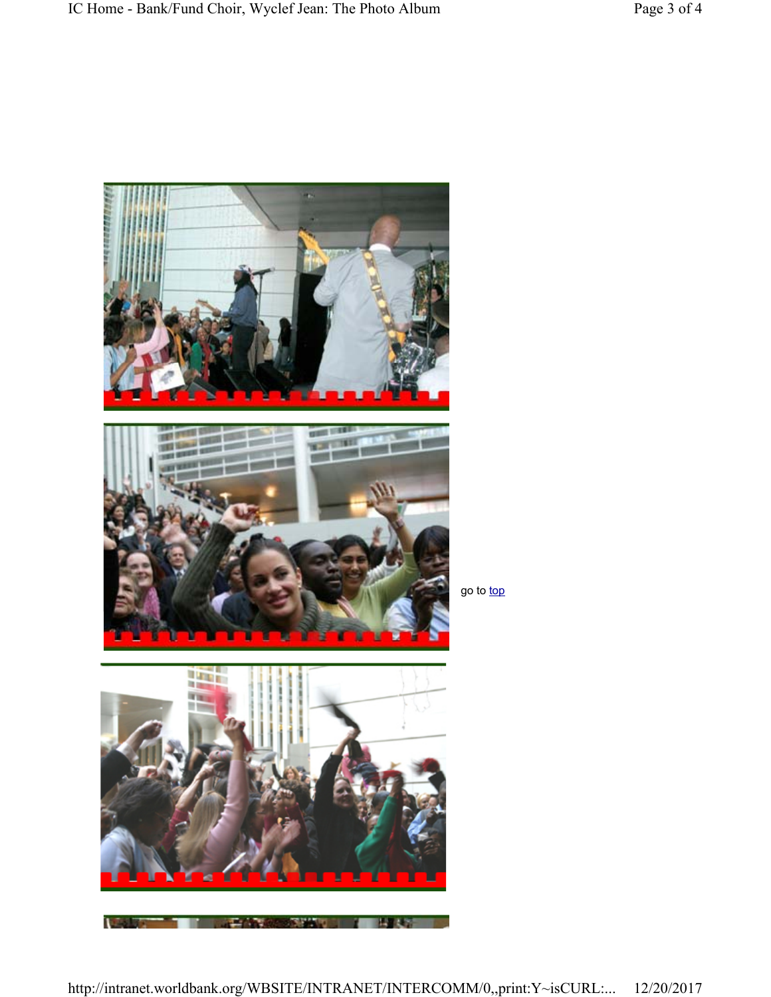